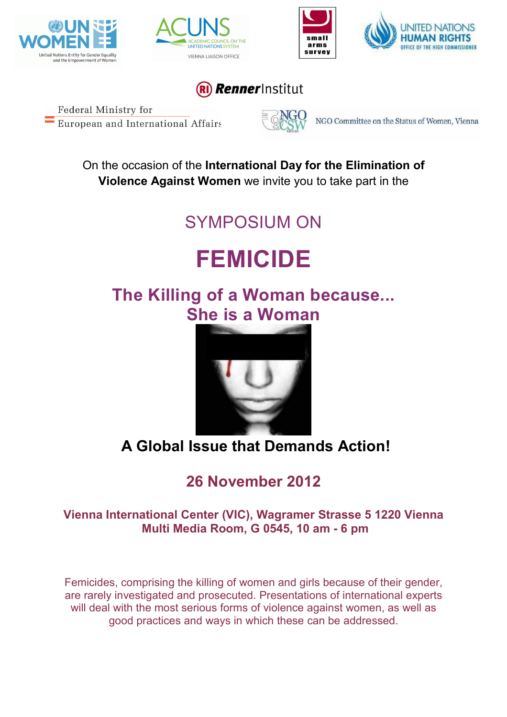







#### **Renner**Institut

Federal Ministry for European and International Affairs



NGO Committee on the Status of Women, Vienna

On the occasion of the **International Day for the Elimination of Violence Against Women** we invite you to take part in the

# SYMPOSIUM ON

# **FEMICIDE**

## **The Killing of a Woman because... She is a Woman**



### **A Global Issue that Demands Action!**

### **26 November 2012**

#### **Vienna International Center (VIC), Wagramer Strasse 5 1220 Vienna Multi Media Room, G 0545, 10 am - 6 pm**

Femicides, comprising the killing of women and girls because of their gender, are rarely investigated and prosecuted. Presentations of international experts will deal with the most serious forms of violence against women, as well as good practices and ways in which these can be addressed.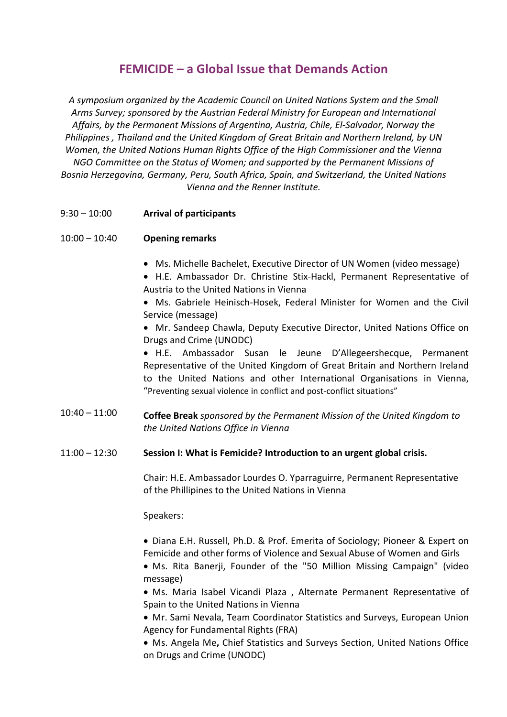#### **FEMICIDE – a Global Issue that Demands Action**

*A symposium organized by the Academic Council on United Nations System and the Small Arms Survey; sponsored by the Austrian Federal Ministry for European and International Affairs, by the Permanent Missions of Argentina, Austria, Chile, El-Salvador, Norway the Philippines , Thailand and the United Kingdom of Great Britain and Northern Ireland, by UN Women, the United Nations Human Rights Office of the High Commissioner and the Vienna NGO Committee on the Status of Women; and supported by the Permanent Missions of Bosnia Herzegovina, Germany, Peru, South Africa, Spain, and Switzerland, the United Nations Vienna and the Renner Institute.* 

9:30 – 10:00 **Arrival of participants** 

#### $10:00 - 10:40$ **Opening remarks**

- Ms. Michelle Bachelet, Executive Director of UN Women (video message)
- H.E. Ambassador Dr. Christine Stix-Hackl, Permanent Representative of Austria to the United Nations in Vienna
- Ms. Gabriele Heinisch-Hosek, Federal Minister for Women and the Civil Service (message)

• Mr. Sandeep Chawla, Deputy Executive Director, United Nations Office on Drugs and Crime (UNODC)

• H.E. Ambassador Susan le Jeune D'Allegeershecque, Permanent Representative of the United Kingdom of Great Britain and Northern Ireland to the United Nations and other International Organisations in Vienna, "Preventing sexual violence in conflict and post-conflict situations"

- $10:40 11:00$ **Coffee Break** *sponsored by the Permanent Mission of the United Kingdom to the United Nations Office in Vienna*
- 11:00 12:30 **Session I: What is Femicide? Introduction to an urgent global crisis.**

Chair: H.E. Ambassador Lourdes O. Yparraguirre, Permanent Representative of the Phillipines to the United Nations in Vienna

Speakers:

• Diana E.H. Russell, Ph.D. & Prof. Emerita of Sociology; Pioneer & Expert on Femicide and other forms of Violence and Sexual Abuse of Women and Girls

• Ms. Rita Banerji, Founder of the "50 Million Missing Campaign" (video message)

• Ms. Maria Isabel Vicandi Plaza , Alternate Permanent Representative of Spain to the United Nations in Vienna

• Mr. Sami Nevala, Team Coordinator Statistics and Surveys, European Union Agency for Fundamental Rights (FRA)

• Ms. Angela Me**,** Chief Statistics and Surveys Section, United Nations Office on Drugs and Crime (UNODC)